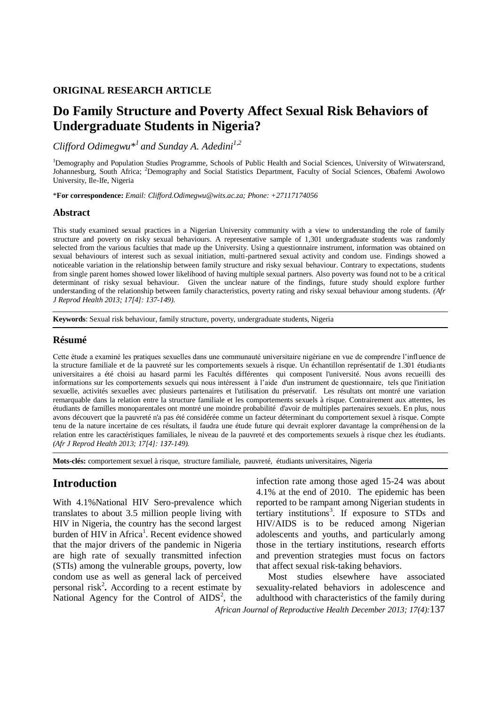### **ORIGINAL RESEARCH ARTICLE**

# **Do Family Structure and Poverty Affect Sexual Risk Behaviors of Undergraduate Students in Nigeria?**

*Clifford Odimegwu\*<sup>1</sup> and Sunday A. Adedini1,2*

<sup>1</sup>Demography and Population Studies Programme, Schools of Public Health and Social Sciences, University of Witwatersrand, Johannesburg, South Africa; <sup>2</sup>Demography and Social Statistics Department, Faculty of Social Sciences, Obafemi Awolowo University, Ile-Ife, Nigeria

\***For correspondence:** *Email: Clifford.Odimegwu@wits.ac.za; Phone: +27117174056*

### **Abstract**

This study examined sexual practices in a Nigerian University community with a view to understanding the role of family structure and poverty on risky sexual behaviours. A representative sample of 1,301 undergraduate students was randomly selected from the various faculties that made up the University. Using a questionnaire instrument, information was obtained on sexual behaviours of interest such as sexual initiation, multi-partnered sexual activity and condom use. Findings showed a noticeable variation in the relationship between family structure and risky sexual behaviour. Contrary to expectations, students from single parent homes showed lower likelihood of having multiple sexual partners. Also poverty was found not to be a critical determinant of risky sexual behaviour. Given the unclear nature of the findings, future study should explore further understanding of the relationship between family characteristics, poverty rating and risky sexual behaviour among students. *(Afr J Reprod Health 2013; 17[4]: 137-149).*

**Keywords**: Sexual risk behaviour, family structure, poverty, undergraduate students, Nigeria

### **Résumé**

Cette étude a examiné les pratiques sexuelles dans une communauté universitaire nigériane en vue de comprendre l'influence de la structure familiale et de la pauvreté sur les comportements sexuels à risque. Un échantillon représentatif de 1.301 étudiants universitaires a été choisi au hasard parmi les Facultés différentes qui composent l'université. Nous avons recueilli des informations sur les comportements sexuels qui nous intéressent à l'aide d'un instrument de questionnaire, tels que l'initiation sexuelle, activités sexuelles avec plusieurs partenaires et l'utilisation du préservatif. Les résultats ont montré une variation remarquable dans la relation entre la structure familiale et les comportements sexuels à risque. Contrairement aux attentes, les étudiants de familles monoparentales ont montré une moindre probabilité d'avoir de multiples partenaires sexuels. En plus, nous avons découvert que la pauvreté n'a pas été considérée comme un facteur déterminant du comportement sexuel à risque. Compte tenu de la nature incertaine de ces résultats, il faudra une étude future qui devrait explorer davantage la compréhension de la relation entre les caractéristiques familiales, le niveau de la pauvreté et des comportements sexuels à risque chez les étudiants. *(Afr J Reprod Health 2013; 17[4]: 137-149).*

**Mots-clés:** comportement sexuel à risque, structure familiale, pauvreté, étudiants universitaires, Nigeria

# **Introduction**

With 4.1%National HIV Sero-prevalence which translates to about 3.5 million people living with HIV in Nigeria, the country has the second largest burden of HIV in Africa<sup>1</sup>. Recent evidence showed that the major drivers of the pandemic in Nigeria are high rate of sexually transmitted infection (STIs) among the vulnerable groups, poverty, low condom use as well as general lack of perceived personal risk<sup>2</sup>. According to a recent estimate by National Agency for the Control of  $AIDS<sup>2</sup>$ , the infection rate among those aged 15-24 was about 4.1% at the end of 2010. The epidemic has been reported to be rampant among Nigerian students in tertiary institutions<sup>3</sup>. If exposure to STDs and HIV/AIDS is to be reduced among Nigerian adolescents and youths, and particularly among those in the tertiary institutions, research efforts and prevention strategies must focus on factors that affect sexual risk-taking behaviors.

*African Journal of Reproductive Health December 2013; 17(4):*137 Most studies elsewhere have associated sexuality-related behaviors in adolescence and adulthood with characteristics of the family during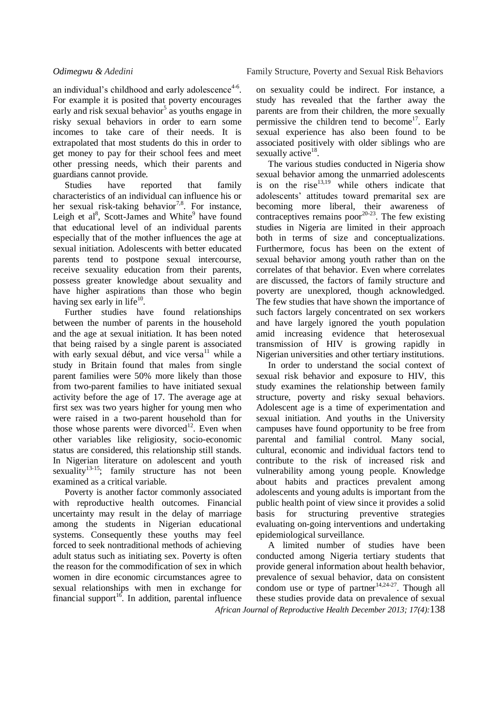an individual's childhood and early adolescence $4-6$ . For example it is posited that poverty encourages early and risk sexual behavior<sup>5</sup> as youths engage in risky sexual behaviors in order to earn some incomes to take care of their needs. It is extrapolated that most students do this in order to get money to pay for their school fees and meet other pressing needs, which their parents and guardians cannot provide.

Studies have reported that family characteristics of an individual can influence his or her sexual risk-taking behavior<sup>7,8</sup>. For instance, Leigh et al<sup>8</sup>, Scott-James and White<sup>9</sup> have found that educational level of an individual parents especially that of the mother influences the age at sexual initiation. Adolescents with better educated parents tend to postpone sexual intercourse, receive sexuality education from their parents, possess greater knowledge about sexuality and have higher aspirations than those who begin having sex early in life $^{10}$ .

Further studies have found relationships between the number of parents in the household and the age at sexual initiation. It has been noted that being raised by a single parent is associated with early sexual début, and vice versa $^{11}$  while a study in Britain found that males from single parent families were 50% more likely than those from two-parent families to have initiated sexual activity before the age of 17. The average age at first sex was two years higher for young men who were raised in a two-parent household than for those whose parents were divorced<sup>12</sup>. Even when other variables like religiosity, socio-economic status are considered, this relationship still stands. In Nigerian literature on adolescent and youth sexuality<sup>13-15</sup>; family structure has not been examined as a critical variable.

Poverty is another factor commonly associated with reproductive health outcomes. Financial uncertainty may result in the delay of marriage among the students in Nigerian educational systems. Consequently these youths may feel forced to seek nontraditional methods of achieving adult status such as initiating sex. Poverty is often the reason for the commodification of sex in which women in dire economic circumstances agree to sexual relationships with men in exchange for financial support<sup>16</sup>. In addition, parental influence

on sexuality could be indirect. For instance, a study has revealed that the farther away the parents are from their children, the more sexually permissive the children tend to become<sup>17</sup>. Early sexual experience has also been found to be associated positively with older siblings who are sexually active<sup>18</sup>.

The various studies conducted in Nigeria show sexual behavior among the unmarried adolescents is on the rise $^{13,19}$  while others indicate that adolescents' attitudes toward premarital sex are becoming more liberal, their awareness of contraceptives remains poor<sup>20-23</sup>. The few existing studies in Nigeria are limited in their approach both in terms of size and conceptualizations. Furthermore, focus has been on the extent of sexual behavior among youth rather than on the correlates of that behavior. Even where correlates are discussed, the factors of family structure and poverty are unexplored, though acknowledged. The few studies that have shown the importance of such factors largely concentrated on sex workers and have largely ignored the youth population amid increasing evidence that heterosexual transmission of HIV is growing rapidly in Nigerian universities and other tertiary institutions.

In order to understand the social context of sexual risk behavior and exposure to HIV, this study examines the relationship between family structure, poverty and risky sexual behaviors. Adolescent age is a time of experimentation and sexual initiation. And youths in the University campuses have found opportunity to be free from parental and familial control. Many social, cultural, economic and individual factors tend to contribute to the risk of increased risk and vulnerability among young people. Knowledge about habits and practices prevalent among adolescents and young adults is important from the public health point of view since it provides a solid basis for structuring preventive strategies evaluating on-going interventions and undertaking epidemiological surveillance.

*African Journal of Reproductive Health December 2013; 17(4):*138 A limited number of studies have been conducted among Nigeria tertiary students that provide general information about health behavior, prevalence of sexual behavior, data on consistent condom use or type of partner<sup>14,24-27</sup>. Though all these studies provide data on prevalence of sexual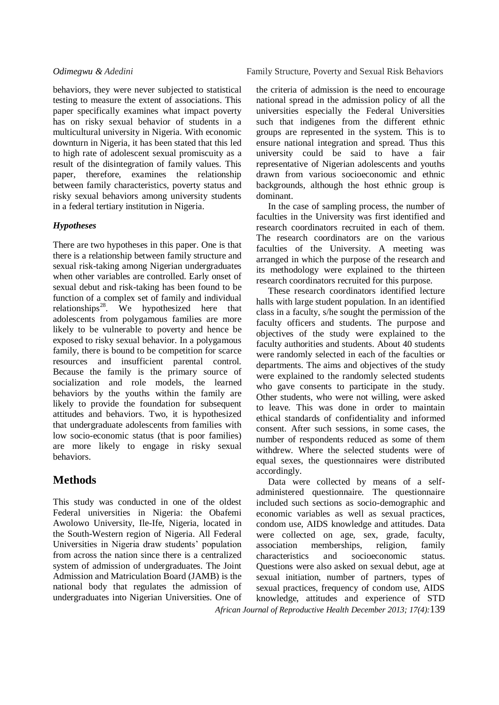behaviors, they were never subjected to statistical testing to measure the extent of associations. This paper specifically examines what impact poverty has on risky sexual behavior of students in a multicultural university in Nigeria. With economic downturn in Nigeria, it has been stated that this led to high rate of adolescent sexual promiscuity as a result of the disintegration of family values. This paper, therefore, examines the relationship between family characteristics, poverty status and risky sexual behaviors among university students in a federal tertiary institution in Nigeria.

# *Hypotheses*

There are two hypotheses in this paper. One is that there is a relationship between family structure and sexual risk-taking among Nigerian undergraduates when other variables are controlled. Early onset of sexual debut and risk-taking has been found to be function of a complex set of family and individual relationships<sup>28</sup>. We hypothesized here that adolescents from polygamous families are more likely to be vulnerable to poverty and hence be exposed to risky sexual behavior. In a polygamous family, there is bound to be competition for scarce resources and insufficient parental control. Because the family is the primary source of socialization and role models, the learned behaviors by the youths within the family are likely to provide the foundation for subsequent attitudes and behaviors. Two, it is hypothesized that undergraduate adolescents from families with low socio-economic status (that is poor families) are more likely to engage in risky sexual behaviors.

# **Methods**

This study was conducted in one of the oldest Federal universities in Nigeria: the Obafemi Awolowo University, Ile-Ife, Nigeria, located in the South-Western region of Nigeria. All Federal Universities in Nigeria draw students' population from across the nation since there is a centralized system of admission of undergraduates. The Joint Admission and Matriculation Board (JAMB) is the national body that regulates the admission of undergraduates into Nigerian Universities. One of the criteria of admission is the need to encourage national spread in the admission policy of all the universities especially the Federal Universities such that indigenes from the different ethnic groups are represented in the system. This is to ensure national integration and spread. Thus this university could be said to have a fair representative of Nigerian adolescents and youths drawn from various socioeconomic and ethnic backgrounds, although the host ethnic group is dominant.

In the case of sampling process, the number of faculties in the University was first identified and research coordinators recruited in each of them. The research coordinators are on the various faculties of the University. A meeting was arranged in which the purpose of the research and its methodology were explained to the thirteen research coordinators recruited for this purpose.

These research coordinators identified lecture halls with large student population. In an identified class in a faculty, s/he sought the permission of the faculty officers and students. The purpose and objectives of the study were explained to the faculty authorities and students. About 40 students were randomly selected in each of the faculties or departments. The aims and objectives of the study were explained to the randomly selected students who gave consents to participate in the study. Other students, who were not willing, were asked to leave. This was done in order to maintain ethical standards of confidentiality and informed consent. After such sessions, in some cases, the number of respondents reduced as some of them withdrew. Where the selected students were of equal sexes, the questionnaires were distributed accordingly.

*African Journal of Reproductive Health December 2013; 17(4):*139 Data were collected by means of a selfadministered questionnaire. The questionnaire included such sections as socio-demographic and economic variables as well as sexual practices, condom use, AIDS knowledge and attitudes. Data were collected on age, sex, grade, faculty, association memberships, religion, family characteristics and socioeconomic status. Questions were also asked on sexual debut, age at sexual initiation, number of partners, types of sexual practices, frequency of condom use, AIDS knowledge, attitudes and experience of STD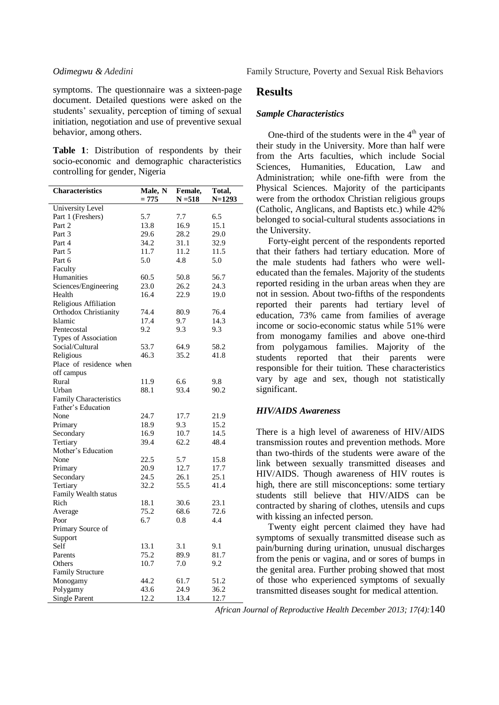symptoms. The questionnaire was a sixteen-page document. Detailed questions were asked on the students' sexuality, perception of timing of sexual initiation, negotiation and use of preventive sexual behavior, among others.

**Table 1**: Distribution of respondents by their socio-economic and demographic characteristics controlling for gender, Nigeria

| <b>Characteristics</b>  | Male, N | Female,   | Total,     |
|-------------------------|---------|-----------|------------|
|                         | $= 775$ | $N = 518$ | $N = 1293$ |
| University Level        |         |           |            |
| Part 1 (Freshers)       | 5.7     | 7.7       | 6.5        |
| Part 2                  | 13.8    | 16.9      | 15.1       |
| Part 3                  | 29.6    | 28.2      | 29.0       |
| Part 4                  | 34.2    | 31.1      | 32.9       |
| Part 5                  | 11.7    | 11.2      | 11.5       |
| Part 6                  | 5.0     | 4.8       | 5.0        |
| Faculty                 |         |           |            |
| Humanities              | 60.5    | 50.8      | 56.7       |
| Sciences/Engineering    | 23.0    | 26.2      | 24.3       |
| Health                  | 16.4    | 22.9      | 19.0       |
| Religious Affiliation   |         |           |            |
| Orthodox Christianity   | 74.4    | 80.9      | 76.4       |
| Islamic                 | 17.4    | 9.7       | 14.3       |
| Pentecostal             | 9.2     | 9.3       | 9.3        |
| Types of Association    |         |           |            |
| Social/Cultural         | 53.7    | 64.9      | 58.2       |
| Religious               | 46.3    | 35.2      | 41.8       |
| Place of residence when |         |           |            |
| off campus              |         |           |            |
| Rural                   | 11.9    | 6.6       | 9.8        |
| Urban                   | 88.1    | 93.4      | 90.2       |
| Family Characteristics  |         |           |            |
| Father's Education      |         |           |            |
| None                    | 24.7    | 17.7      | 21.9       |
| Primary                 | 18.9    | 9.3       | 15.2       |
| Secondary               | 16.9    | 10.7      | 14.5       |
| Tertiary                | 39.4    | 62.2      | 48.4       |
| Mother's Education      |         |           |            |
| None                    | 22.5    | 5.7       | 15.8       |
| Primary                 | 20.9    | 12.7      | 17.7       |
| Secondary               | 24.5    | 26.1      | 25.1       |
| Tertiary                | 32.2    | 55.5      | 41.4       |
| Family Wealth status    |         |           |            |
| Rich                    | 18.1    | 30.6      | 23.1       |
| Average                 | 75.2    | 68.6      | 72.6       |
| Poor                    | 6.7     | 0.8       | 4.4        |
| Primary Source of       |         |           |            |
| Support                 |         |           |            |
| Self                    | 13.1    | 3.1       | 9.1        |
| Parents                 | 75.2    | 89.9      | 81.7       |
| Others                  | 10.7    | 7.0       | 9.2        |
| <b>Family Structure</b> |         |           |            |
| Monogamy                | 44.2    | 61.7      | 51.2       |
| Polygamy                | 43.6    | 24.9      | 36.2       |
| <b>Single Parent</b>    | 12.2    | 13.4      | 12.7       |

*Odimegwu & Adedini* Family Structure, Poverty and Sexual Risk Behaviors

## **Results**

### *Sample Characteristics*

One-third of the students were in the  $4<sup>th</sup>$  year of their study in the University. More than half were from the Arts faculties, which include Social Sciences, Humanities, Education, Law and Administration; while one-fifth were from the Physical Sciences. Majority of the participants were from the orthodox Christian religious groups (Catholic, Anglicans, and Baptists etc.) while 42% belonged to social-cultural students associations in the University.

Forty-eight percent of the respondents reported that their fathers had tertiary education. More of the male students had fathers who were welleducated than the females. Majority of the students reported residing in the urban areas when they are not in session. About two-fifths of the respondents reported their parents had tertiary level of education, 73% came from families of average income or socio-economic status while 51% were from monogamy families and above one-third from polygamous families. Majority of the students reported that their parents were responsible for their tuition. These characteristics vary by age and sex, though not statistically significant.

### *HIV/AIDS Awareness*

There is a high level of awareness of HIV/AIDS transmission routes and prevention methods. More than two-thirds of the students were aware of the link between sexually transmitted diseases and HIV/AIDS. Though awareness of HIV routes is high, there are still misconceptions: some tertiary students still believe that HIV/AIDS can be contracted by sharing of clothes, utensils and cups with kissing an infected person.

Twenty eight percent claimed they have had symptoms of sexually transmitted disease such as pain/burning during urination, unusual discharges from the penis or vagina, and or sores of bumps in the genital area. Further probing showed that most of those who experienced symptoms of sexually transmitted diseases sought for medical attention.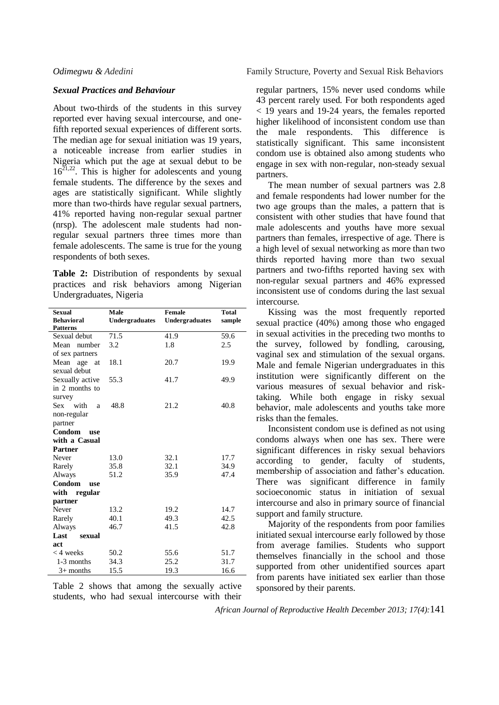### *Sexual Practices and Behaviour*

About two-thirds of the students in this survey reported ever having sexual intercourse, and onefifth reported sexual experiences of different sorts. The median age for sexual initiation was 19 years, a noticeable increase from earlier studies in Nigeria which put the age at sexual debut to be  $16^{21,22}$ . This is higher for adolescents and young female students. The difference by the sexes and ages are statistically significant. While slightly more than two-thirds have regular sexual partners, 41% reported having non-regular sexual partner (nrsp). The adolescent male students had nonregular sexual partners three times more than female adolescents. The same is true for the young respondents of both sexes.

**Table 2:** Distribution of respondents by sexual practices and risk behaviors among Nigerian Undergraduates, Nigeria

| <b>Sexual</b>        | Male                  | <b>Female</b>  | <b>Total</b> |
|----------------------|-----------------------|----------------|--------------|
| <b>Behavioral</b>    | <b>Undergraduates</b> | Undergraduates | sample       |
| <b>Patterns</b>      |                       |                |              |
| Sexual debut         | 71.5                  | 41.9           | 59.6         |
| Mean number          | 3.2                   | 1.8            | 2.5          |
| of sex partners      |                       |                |              |
| Mean age at          | 18.1                  | 20.7           | 19.9         |
| sexual debut         |                       |                |              |
| Sexually active      | 55.3                  | 41.7           | 49.9         |
| in 2 months to       |                       |                |              |
| survey               |                       |                |              |
| Sex with<br>a        | 48.8                  | 21.2           | 40.8         |
| non-regular          |                       |                |              |
| partner              |                       |                |              |
| <b>Condom</b><br>use |                       |                |              |
| with a Casual        |                       |                |              |
| <b>Partner</b>       |                       |                |              |
| Never                | 13.0                  | 32.1           | 17.7         |
| Rarely               | 35.8                  | 32.1           | 34.9         |
| Always               | 51.2                  | 35.9           | 47.4         |
| Condom<br>use        |                       |                |              |
| with regular         |                       |                |              |
| partner              |                       |                |              |
| Never                | 13.2                  | 19.2           | 14.7         |
| Rarely               | 40.1                  | 49.3           | 42.5         |
| Always               | 46.7                  | 41.5           | 42.8         |
| Last<br>sexual       |                       |                |              |
| act                  |                       |                |              |
| $<$ 4 weeks          | 50.2                  | 55.6           | 51.7         |
| 1-3 months           | 34.3                  | 25.2           | 31.7         |
| $3+$ months          | 15.5                  | 19.3           | 16.6         |

Table 2 shows that among the sexually active students, who had sexual intercourse with their

*Odimegwu & Adedini* Family Structure, Poverty and Sexual Risk Behaviors

regular partners, 15% never used condoms while 43 percent rarely used. For both respondents aged < 19 years and 19-24 years, the females reported higher likelihood of inconsistent condom use than the male respondents. This difference is statistically significant. This same inconsistent condom use is obtained also among students who engage in sex with non-regular, non-steady sexual partners.

The mean number of sexual partners was 2.8 and female respondents had lower number for the two age groups than the males, a pattern that is consistent with other studies that have found that male adolescents and youths have more sexual partners than females, irrespective of age. There is a high level of sexual networking as more than two thirds reported having more than two sexual partners and two-fifths reported having sex with non-regular sexual partners and 46% expressed inconsistent use of condoms during the last sexual intercourse.

Kissing was the most frequently reported sexual practice (40%) among those who engaged in sexual activities in the preceding two months to the survey, followed by fondling, carousing, vaginal sex and stimulation of the sexual organs. Male and female Nigerian undergraduates in this institution were significantly different on the various measures of sexual behavior and risktaking. While both engage in risky sexual behavior, male adolescents and youths take more risks than the females.

Inconsistent condom use is defined as not using condoms always when one has sex. There were significant differences in risky sexual behaviors according to gender, faculty of students, membership of association and father's education. There was significant difference in family socioeconomic status in initiation of sexual intercourse and also in primary source of financial support and family structure.

Majority of the respondents from poor families initiated sexual intercourse early followed by those from average families. Students who support themselves financially in the school and those supported from other unidentified sources apart from parents have initiated sex earlier than those sponsored by their parents.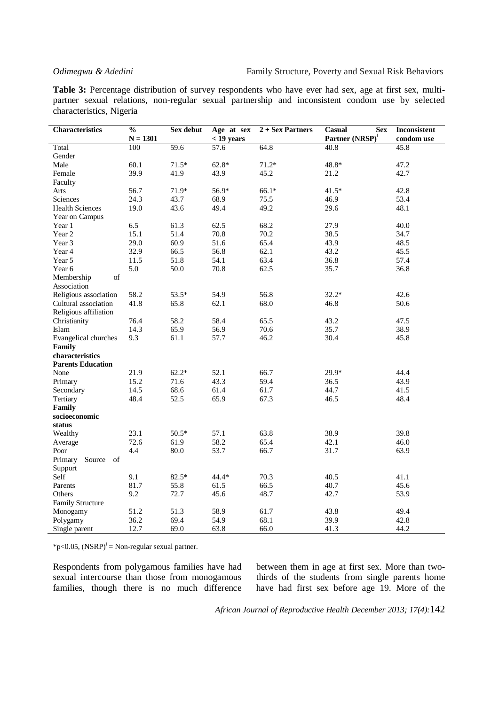**Table 3:** Percentage distribution of survey respondents who have ever had sex, age at first sex, multipartner sexual relations, non-regular sexual partnership and inconsistent condom use by selected characteristics, Nigeria

| <b>Characteristics</b>   | $\overline{\frac{0}{0}}$ | Sex debut    | Age at sex   | $2 +$ Sex Partners | Casual<br><b>Sex</b>        | Inconsistent |
|--------------------------|--------------------------|--------------|--------------|--------------------|-----------------------------|--------------|
|                          | $N = 1301$               |              | $<$ 19 years |                    | Partner (NRSP) <sup>†</sup> | condom use   |
| Total                    | 100                      | 59.6         | 57.6         | 64.8               | 40.8                        | 45.8         |
| Gender                   |                          |              |              |                    |                             |              |
| Male                     | 60.1                     | $71.5*$      | $62.8*$      | $71.2*$            | 48.8*                       | 47.2         |
| Female                   | 39.9                     | 41.9         | 43.9         | 45.2               | 21.2                        | 42.7         |
| Faculty                  |                          |              |              |                    |                             |              |
| Arts                     | 56.7                     | 71.9*        | 56.9*        | $66.1*$            | $41.5*$                     | 42.8         |
| Sciences                 | 24.3                     | 43.7         | 68.9         | 75.5               | 46.9                        | 53.4         |
| <b>Health Sciences</b>   | 19.0                     | 43.6         | 49.4         | 49.2               | 29.6                        | 48.1         |
| Year on Campus           |                          |              |              |                    |                             |              |
| Year 1                   | 6.5                      | 61.3         | 62.5         | 68.2               | 27.9                        | 40.0         |
| Year 2                   | 15.1                     | 51.4         | 70.8         | 70.2               | 38.5                        | 34.7         |
| Year 3                   | 29.0                     | 60.9         | 51.6         | 65.4               | 43.9                        | 48.5         |
| Year 4                   | 32.9                     | 66.5         | 56.8         | 62.1               | 43.2                        | 45.5         |
| Year 5                   | 11.5                     | 51.8         | 54.1         | 63.4               | 36.8                        | 57.4         |
| Year 6                   | 5.0                      | 50.0         | 70.8         | 62.5               | 35.7                        | 36.8         |
| of<br>Membership         |                          |              |              |                    |                             |              |
| Association              |                          |              |              |                    |                             |              |
| Religious association    | 58.2                     | 53.5*        | 54.9         | 56.8               | $32.2*$                     | 42.6         |
| Cultural association     | 41.8                     | 65.8         | 62.1         | 68.0               | 46.8                        | 50.6         |
| Religious affiliation    |                          |              |              |                    |                             |              |
| Christianity             | 76.4                     | 58.2         | 58.4         | 65.5               | 43.2                        | 47.5         |
| Islam                    | 14.3                     | 65.9         | 56.9         | 70.6               | 35.7                        | 38.9         |
| Evangelical churches     | 9.3                      | 61.1         | 57.7         | 46.2               | 30.4                        | 45.8         |
| Family                   |                          |              |              |                    |                             |              |
| characteristics          |                          |              |              |                    |                             |              |
| <b>Parents Education</b> |                          |              |              |                    |                             |              |
| None                     | 21.9                     | $62.2*$      | 52.1         | 66.7               | 29.9*                       | 44.4         |
| Primary                  | 15.2                     | 71.6         | 43.3         | 59.4               | 36.5                        | 43.9         |
| Secondary                | 14.5                     | 68.6         | 61.4         | 61.7               | 44.7                        | 41.5         |
| Tertiary                 | 48.4                     | 52.5         | 65.9         | 67.3               | 46.5                        | 48.4         |
| Family                   |                          |              |              |                    |                             |              |
| socioeconomic            |                          |              |              |                    |                             |              |
| status                   |                          |              |              |                    |                             |              |
| Wealthy                  | 23.1                     | $50.5*$      | 57.1         | 63.8               | 38.9                        | 39.8         |
| Average                  | 72.6                     | 61.9         | 58.2         | 65.4               | 42.1                        | 46.0         |
| Poor                     | 4.4                      | 80.0         | 53.7         | 66.7               | 31.7                        | 63.9         |
| Primary<br>Source of     |                          |              |              |                    |                             |              |
| Support                  |                          |              |              |                    |                             |              |
| Self                     | 9.1                      | $82.5*$      | 44.4*        | 70.3               | 40.5                        | 41.1         |
| Parents                  | 81.7                     | 55.8         | 61.5         | 66.5               | 40.7                        | 45.6         |
| Others                   | 9.2                      | 72.7         | 45.6         | 48.7               | 42.7                        | 53.9         |
|                          |                          |              |              |                    |                             |              |
| <b>Family Structure</b>  |                          |              |              |                    | 43.8                        |              |
| Monogamy                 | 51.2<br>36.2             | 51.3<br>69.4 | 58.9<br>54.9 | 61.7<br>68.1       | 39.9                        | 49.4<br>42.8 |
| Polygamy                 |                          |              |              |                    | 41.3                        |              |
| Single parent            | 12.7                     | 69.0         | 63.8         | 66.0               |                             | 44.2         |

 $*p<0.05$ , (NSRP)<sup> $\dagger$ </sup> = Non-regular sexual partner.

Respondents from polygamous families have had sexual intercourse than those from monogamous families, though there is no much difference between them in age at first sex. More than twothirds of the students from single parents home have had first sex before age 19. More of the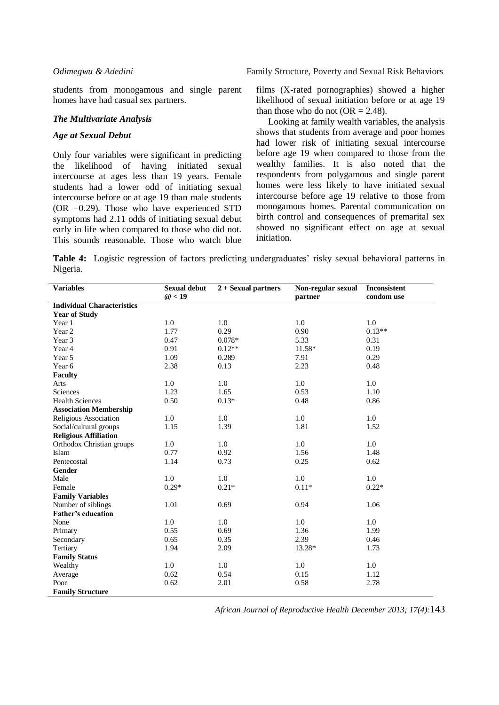students from monogamous and single parent homes have had casual sex partners.

### *The Multivariate Analysis*

### *Age at Sexual Debut*

Only four variables were significant in predicting the likelihood of having initiated sexual intercourse at ages less than 19 years. Female students had a lower odd of initiating sexual intercourse before or at age 19 than male students (OR =0.29). Those who have experienced STD symptoms had 2.11 odds of initiating sexual debut early in life when compared to those who did not. This sounds reasonable. Those who watch blue films (X-rated pornographies) showed a higher likelihood of sexual initiation before or at age 19 than those who do not  $(OR = 2.48)$ .

Looking at family wealth variables, the analysis shows that students from average and poor homes had lower risk of initiating sexual intercourse before age 19 when compared to those from the wealthy families. It is also noted that the respondents from polygamous and single parent homes were less likely to have initiated sexual intercourse before age 19 relative to those from monogamous homes. Parental communication on birth control and consequences of premarital sex showed no significant effect on age at sexual initiation.

**Table 4:** Logistic regression of factors predicting undergraduates' risky sexual behavioral patterns in Nigeria.

| <b>Variables</b>                  | <b>Sexual debut</b> | $2 +$ Sexual partners | Non-regular sexual | Inconsistent |
|-----------------------------------|---------------------|-----------------------|--------------------|--------------|
|                                   | @<19                |                       | partner            | condom use   |
| <b>Individual Characteristics</b> |                     |                       |                    |              |
| <b>Year of Study</b>              |                     |                       |                    |              |
| Year 1                            | 1.0                 | 1.0                   | 1.0                | 1.0          |
| Year 2                            | 1.77                | 0.29                  | 0.90               | $0.13**$     |
| Year 3                            | 0.47                | $0.078*$              | 5.33               | 0.31         |
| Year 4                            | 0.91                | $0.12**$              | 11.58*             | 0.19         |
| Year 5                            | 1.09                | 0.289                 | 7.91               | 0.29         |
| Year 6                            | 2.38                | 0.13                  | 2.23               | 0.48         |
| <b>Faculty</b>                    |                     |                       |                    |              |
| Arts                              | 1.0                 | 1.0                   | 1.0                | 1.0          |
| Sciences                          | 1.23                | 1.65                  | 0.53               | 1.10         |
| <b>Health Sciences</b>            | 0.50                | $0.13*$               | 0.48               | 0.86         |
| <b>Association Membership</b>     |                     |                       |                    |              |
| Religious Association             | 1.0                 | 1.0                   | 1.0                | 1.0          |
| Social/cultural groups            | 1.15                | 1.39                  | 1.81               | 1.52         |
| <b>Religious Affiliation</b>      |                     |                       |                    |              |
| Orthodox Christian groups         | 1.0                 | 1.0                   | 1.0                | 1.0          |
| Islam                             | 0.77                | 0.92                  | 1.56               | 1.48         |
| Pentecostal                       | 1.14                | 0.73                  | 0.25               | 0.62         |
| Gender                            |                     |                       |                    |              |
| Male                              | 1.0                 | 1.0                   | 1.0                | 1.0          |
| Female                            | $0.29*$             | $0.21*$               | $0.11*$            | $0.22*$      |
| <b>Family Variables</b>           |                     |                       |                    |              |
| Number of siblings                | 1.01                | 0.69                  | 0.94               | 1.06         |
| <b>Father's education</b>         |                     |                       |                    |              |
| None                              | 1.0                 | 1.0                   | 1.0                | 1.0          |
| Primary                           | 0.55                | 0.69                  | 1.36               | 1.99         |
| Secondary                         | 0.65                | 0.35                  | 2.39               | 0.46         |
| Tertiary                          | 1.94                | 2.09                  | 13.28*             | 1.73         |
| <b>Family Status</b>              |                     |                       |                    |              |
| Wealthy                           | 1.0                 | 1.0                   | 1.0                | 1.0          |
| Average                           | 0.62                | 0.54                  | 0.15               | 1.12         |
| Poor                              | 0.62                | 2.01                  | 0.58               | 2.78         |
| <b>Family Structure</b>           |                     |                       |                    |              |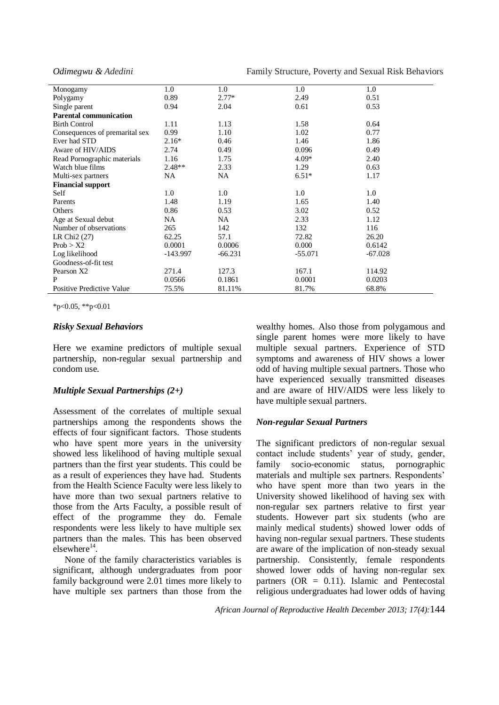*Odimegwu & Adedini* Family Structure, Poverty and Sexual Risk Behaviors

| Monogamy                       | 1.0        | 1.0       | 1.0       | 1.0       |
|--------------------------------|------------|-----------|-----------|-----------|
| Polygamy                       | 0.89       | $2.77*$   | 2.49      | 0.51      |
| Single parent                  | 0.94       | 2.04      | 0.61      | 0.53      |
| <b>Parental communication</b>  |            |           |           |           |
| <b>Birth Control</b>           | 1.11       | 1.13      | 1.58      | 0.64      |
| Consequences of premarital sex | 0.99       | 1.10      | 1.02      | 0.77      |
| Ever had STD                   | $2.16*$    | 0.46      | 1.46      | 1.86      |
| Aware of HIV/AIDS              | 2.74       | 0.49      | 0.096     | 0.49      |
| Read Pornographic materials    | 1.16       | 1.75      | $4.09*$   | 2.40      |
| Watch blue films               | $2.48**$   | 2.33      | 1.29      | 0.63      |
| Multi-sex partners             | <b>NA</b>  | NA        | $6.51*$   | 1.17      |
| <b>Financial support</b>       |            |           |           |           |
| Self                           | 1.0        | 1.0       | 1.0       | 1.0       |
| Parents                        | 1.48       | 1.19      | 1.65      | 1.40      |
| Others                         | 0.86       | 0.53      | 3.02      | 0.52      |
| Age at Sexual debut            | NA.        | NA.       | 2.33      | 1.12      |
| Number of observations         | 265        | 142       | 132       | 116       |
| LR Chi $2(27)$                 | 62.25      | 57.1      | 72.82     | 26.20     |
| Prob > X2                      | 0.0001     | 0.0006    | 0.000     | 0.6142    |
| Log likelihood                 | $-143.997$ | $-66.231$ | $-55.071$ | $-67.028$ |
| Goodness-of-fit test           |            |           |           |           |
| Pearson X2                     | 271.4      | 127.3     | 167.1     | 114.92    |
| P                              | 0.0566     | 0.1861    | 0.0001    | 0.0203    |
| Positive Predictive Value      | 75.5%      | 81.11%    | 81.7%     | 68.8%     |

 $*p<0.05$ ,  $*p<0.01$ 

### *Risky Sexual Behaviors*

Here we examine predictors of multiple sexual partnership, non-regular sexual partnership and condom use.

### *Multiple Sexual Partnerships (2+)*

Assessment of the correlates of multiple sexual partnerships among the respondents shows the effects of four significant factors. Those students who have spent more years in the university showed less likelihood of having multiple sexual partners than the first year students. This could be as a result of experiences they have had. Students from the Health Science Faculty were less likely to have more than two sexual partners relative to those from the Arts Faculty, a possible result of effect of the programme they do. Female respondents were less likely to have multiple sex partners than the males. This has been observed  $e$ lsewhere<sup>14</sup>.

None of the family characteristics variables is significant, although undergraduates from poor family background were 2.01 times more likely to have multiple sex partners than those from the wealthy homes. Also those from polygamous and single parent homes were more likely to have multiple sexual partners. Experience of STD symptoms and awareness of HIV shows a lower odd of having multiple sexual partners. Those who have experienced sexually transmitted diseases and are aware of HIV/AIDS were less likely to have multiple sexual partners.

### *Non-regular Sexual Partners*

The significant predictors of non-regular sexual contact include students' year of study, gender, family socio-economic status, pornographic materials and multiple sex partners. Respondents' who have spent more than two years in the University showed likelihood of having sex with non-regular sex partners relative to first year students. However part six students (who are mainly medical students) showed lower odds of having non-regular sexual partners. These students are aware of the implication of non-steady sexual partnership. Consistently, female respondents showed lower odds of having non-regular sex partners  $(OR = 0.11)$ . Islamic and Pentecostal religious undergraduates had lower odds of having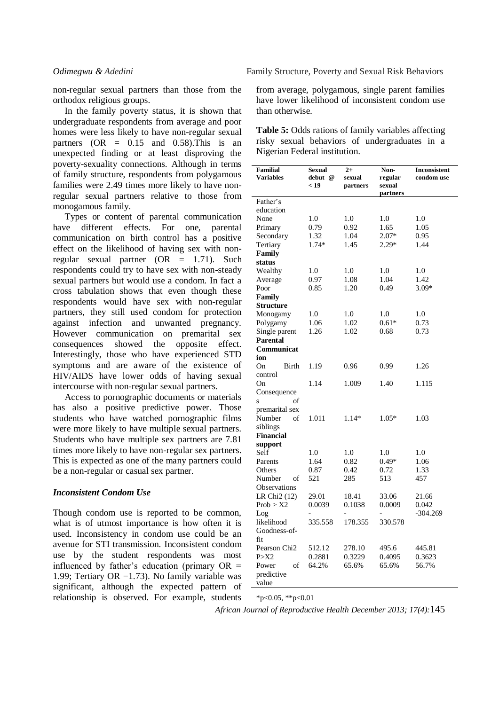In the family poverty status, it is shown that undergraduate respondents from average and poor homes were less likely to have non-regular sexual partners  $(OR = 0.15$  and  $0.58$ ). This is an unexpected finding or at least disproving the poverty-sexuality connections. Although in terms of family structure, respondents from polygamous families were 2.49 times more likely to have nonregular sexual partners relative to those from monogamous family.

Types or content of parental communication have different effects. For one, parental communication on birth control has a positive effect on the likelihood of having sex with nonregular sexual partner  $(OR = 1.71)$ . Such respondents could try to have sex with non-steady sexual partners but would use a condom. In fact a cross tabulation shows that even though these respondents would have sex with non-regular partners, they still used condom for protection against infection and unwanted pregnancy. However communication on premarital sex consequences showed the opposite effect. Interestingly, those who have experienced STD symptoms and are aware of the existence of HIV/AIDS have lower odds of having sexual intercourse with non-regular sexual partners.

Access to pornographic documents or materials has also a positive predictive power. Those students who have watched pornographic films were more likely to have multiple sexual partners. Students who have multiple sex partners are 7.81 times more likely to have non-regular sex partners. This is expected as one of the many partners could be a non-regular or casual sex partner.

### *Inconsistent Condom Use*

Though condom use is reported to be common, what is of utmost importance is how often it is used. Inconsistency in condom use could be an avenue for STI transmission. Inconsistent condom use by the student respondents was most influenced by father's education (primary  $OR =$ 1.99; Tertiary OR =1.73). No family variable was significant, although the expected pattern of relationship is observed. For example, students

from average, polygamous, single parent families have lower likelihood of inconsistent condom use than otherwise.

**Table 5:** Odds rations of family variables affecting risky sexual behaviors of undergraduates in a Nigerian Federal institution.

| <b>Familial</b><br><b>Variables</b> | <b>Sexual</b><br>debut @<br>< 19 | $2+$<br>sexual<br>partners | Non-<br>regular<br>sexual<br>partners | <b>Inconsistent</b><br>condom use |
|-------------------------------------|----------------------------------|----------------------------|---------------------------------------|-----------------------------------|
| Father's                            |                                  |                            |                                       |                                   |
| education                           |                                  |                            |                                       |                                   |
| None                                | 1.0                              | 1.0                        | 1.0                                   | $1.0\,$                           |
| Primary                             | 0.79                             | 0.92                       | 1.65                                  | 1.05                              |
| Secondary                           | 1.32                             | 1.04                       | $2.07*$                               | 0.95                              |
| Tertiary                            | 1.74*                            | 1.45                       | 2.29*                                 | 1.44                              |
| Family                              |                                  |                            |                                       |                                   |
| status                              |                                  |                            |                                       |                                   |
| Wealthy                             | 1.0                              | 1.0                        | 1.0                                   | 1.0                               |
| Average                             | 0.97                             | 1.08                       | 1.04                                  | 1.42                              |
| Poor                                | 0.85                             | 1.20                       | 0.49                                  | $3.09*$                           |
| Family                              |                                  |                            |                                       |                                   |
| <b>Structure</b>                    |                                  |                            |                                       |                                   |
| Monogamy                            | $1.0\,$                          | 1.0                        | 1.0                                   | $1.0\,$                           |
| Polygamy                            | 1.06                             | 1.02                       | $0.61*$                               | 0.73                              |
| Single parent                       | 1.26                             | 1.02                       | 0.68                                  | 0.73                              |
| <b>Parental</b>                     |                                  |                            |                                       |                                   |
| Communicat                          |                                  |                            |                                       |                                   |
| ion                                 |                                  |                            |                                       |                                   |
| Birth<br>On.                        | 1.19                             | 0.96                       | 0.99                                  | 1.26                              |
| control                             |                                  |                            |                                       |                                   |
| On                                  | 1.14                             | 1.009                      | 1.40                                  | 1.115                             |
| Consequence                         |                                  |                            |                                       |                                   |
| $\overline{\mathbf{s}}$<br>of       |                                  |                            |                                       |                                   |
| premarital sex                      |                                  |                            |                                       |                                   |
| Number<br>of                        | 1.011                            | $1.14*$                    | $1.05*$                               | 1.03                              |
| siblings                            |                                  |                            |                                       |                                   |
| <b>Financial</b>                    |                                  |                            |                                       |                                   |
| support                             |                                  |                            |                                       |                                   |
| Self                                | 1.0                              | 1.0                        | 1.0                                   | 1.0                               |
| Parents                             | 1.64                             | 0.82                       | $0.49*$                               | 1.06                              |
| Others                              | 0.87                             | 0.42                       | 0.72                                  | 1.33                              |
| Number<br>of                        | 521                              | 285                        | 513                                   | 457                               |
| Observations                        |                                  |                            |                                       |                                   |
| LR Chi <sub>2</sub> (12)            | 29.01                            | 18.41                      | 33.06                                 | 21.66                             |
| Prob > X2                           | 0.0039                           | 0.1038                     | 0.0009                                | 0.042                             |
| Log                                 | $\overline{a}$                   |                            | $\overline{a}$                        | $-304.269$                        |
| likelihood                          | 335.558                          | 178.355                    | 330.578                               |                                   |
| Goodness-of-                        |                                  |                            |                                       |                                   |
| fit                                 |                                  |                            |                                       |                                   |
| Pearson Chi <sub>2</sub>            | 512.12                           | 278.10                     | 495.6                                 | 445.81                            |
| P > X2                              | 0.2881                           | 0.3229                     | 0.4095                                | 0.3623                            |
| Power<br>of                         | 64.2%                            | 65.6%                      | 65.6%                                 | 56.7%                             |
| predictive                          |                                  |                            |                                       |                                   |
| value                               |                                  |                            |                                       |                                   |

 $*p<0.05$ ,  $*p<0.01$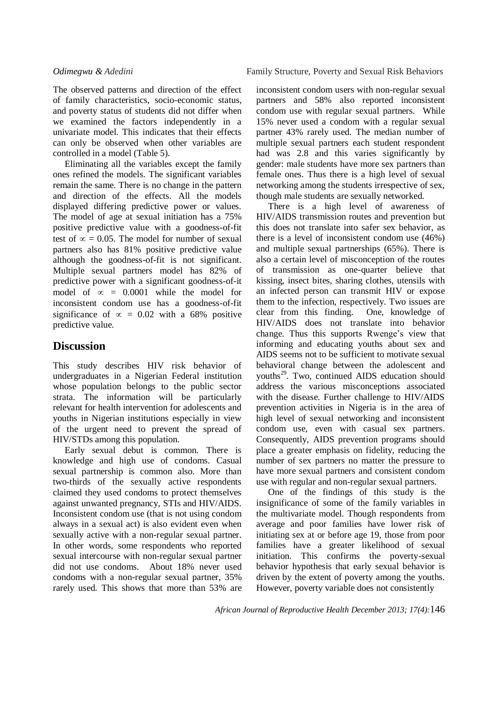*Odimegwu & Adedini* Family Structure, Poverty and Sexual Risk Behaviors

The observed patterns and direction of the effect of family characteristics, socio-economic status, and poverty status of students did not differ when we examined the factors independently in a univariate model. This indicates that their effects can only be observed when other variables are controlled in a model (Table 5).

Eliminating all the variables except the family ones refined the models. The significant variables remain the same. There is no change in the pattern and direction of the effects. All the models displayed differing predictive power or values. The model of age at sexual initiation has a 75% positive predictive value with a goodness-of-fit test of  $\infty = 0.05$ . The model for number of sexual partners also has 81% positive predictive value although the goodness-of-fit is not significant. Multiple sexual partners model has 82% of predictive power with a significant goodness-of-it model of  $\infty = 0.0001$  while the model for inconsistent condom use has a goodness-of-fit significance of  $\infty = 0.02$  with a 68% positive predictive value.

# **Discussion**

This study describes HIV risk behavior of undergraduates in a Nigerian Federal institution whose population belongs to the public sector strata. The information will be particularly relevant for health intervention for adolescents and youths in Nigerian institutions especially in view of the urgent need to prevent the spread of HIV/STDs among this population.

Early sexual debut is common. There is knowledge and high use of condoms. Casual sexual partnership is common also. More than two-thirds of the sexually active respondents claimed they used condoms to protect themselves against unwanted pregnancy, STIs and HIV/AIDS. Inconsistent condom use (that is not using condom always in a sexual act) is also evident even when sexually active with a non-regular sexual partner. In other words, some respondents who reported sexual intercourse with non-regular sexual partner did not use condoms. About 18% never used condoms with a non-regular sexual partner, 35% rarely used. This shows that more than 53% are

inconsistent condom users with non-regular sexual partners and 58% also reported inconsistent condom use with regular sexual partners. While 15% never used a condom with a regular sexual partner 43% rarely used. The median number of multiple sexual partners each student respondent had was 2.8 and this varies significantly by gender: male students have more sex partners than female ones. Thus there is a high level of sexual networking among the students irrespective of sex, though male students are sexually networked.

There is a high level of awareness of HIV/AIDS transmission routes and prevention but this does not translate into safer sex behavior, as there is a level of inconsistent condom use (46%) and multiple sexual partnerships (65%). There is also a certain level of misconception of the routes of transmission as one-quarter believe that kissing, insect bites, sharing clothes, utensils with an infected person can transmit HIV or expose them to the infection, respectively. Two issues are clear from this finding. One, knowledge of HIV/AIDS does not translate into behavior change. Thus this supports Rwenge's view that informing and educating youths about sex and AIDS seems not to be sufficient to motivate sexual behavioral change between the adolescent and youths<sup>29</sup>. Two, continued AIDS education should address the various misconceptions associated with the disease. Further challenge to HIV/AIDS prevention activities in Nigeria is in the area of high level of sexual networking and inconsistent condom use, even with casual sex partners. Consequently, AIDS prevention programs should place a greater emphasis on fidelity, reducing the number of sex partners no matter the pressure to have more sexual partners and consistent condom use with regular and non-regular sexual partners.

One of the findings of this study is the insignificance of some of the family variables in the multivariate model. Though respondents from average and poor families have lower risk of initiating sex at or before age 19, those from poor families have a greater likelihood of sexual initiation. This confirms the poverty-sexual behavior hypothesis that early sexual behavior is driven by the extent of poverty among the youths. However, poverty variable does not consistently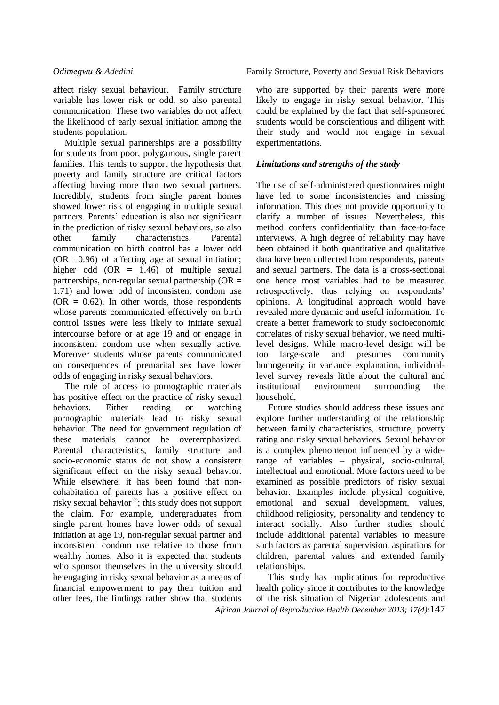affect risky sexual behaviour. Family structure variable has lower risk or odd, so also parental communication. These two variables do not affect the likelihood of early sexual initiation among the students population.

Multiple sexual partnerships are a possibility for students from poor, polygamous, single parent families. This tends to support the hypothesis that poverty and family structure are critical factors affecting having more than two sexual partners. Incredibly, students from single parent homes showed lower risk of engaging in multiple sexual partners. Parents' education is also not significant in the prediction of risky sexual behaviors, so also other family characteristics. Parental communication on birth control has a lower odd (OR  $=0.96$ ) of affecting age at sexual initiation; higher odd  $(OR = 1.46)$  of multiple sexual partnerships, non-regular sexual partnership ( $OR =$ 1.71) and lower odd of inconsistent condom use  $(OR = 0.62)$ . In other words, those respondents whose parents communicated effectively on birth control issues were less likely to initiate sexual intercourse before or at age 19 and or engage in inconsistent condom use when sexually active. Moreover students whose parents communicated on consequences of premarital sex have lower odds of engaging in risky sexual behaviors.

The role of access to pornographic materials has positive effect on the practice of risky sexual behaviors. Either reading or watching pornographic materials lead to risky sexual behavior. The need for government regulation of these materials cannot be overemphasized. Parental characteristics, family structure and socio-economic status do not show a consistent significant effect on the risky sexual behavior. While elsewhere, it has been found that noncohabitation of parents has a positive effect on risky sexual behavior<sup>29</sup>; this study does not support the claim. For example, undergraduates from single parent homes have lower odds of sexual initiation at age 19, non-regular sexual partner and inconsistent condom use relative to those from wealthy homes. Also it is expected that students who sponsor themselves in the university should be engaging in risky sexual behavior as a means of financial empowerment to pay their tuition and other fees, the findings rather show that students

who are supported by their parents were more likely to engage in risky sexual behavior. This could be explained by the fact that self-sponsored students would be conscientious and diligent with their study and would not engage in sexual experimentations.

### *Limitations and strengths of the study*

The use of self-administered questionnaires might have led to some inconsistencies and missing information. This does not provide opportunity to clarify a number of issues. Nevertheless, this method confers confidentiality than face-to-face interviews. A high degree of reliability may have been obtained if both quantitative and qualitative data have been collected from respondents, parents and sexual partners. The data is a cross-sectional one hence most variables had to be measured retrospectively, thus relying on respondents' opinions. A longitudinal approach would have revealed more dynamic and useful information. To create a better framework to study socioeconomic correlates of risky sexual behavior, we need multilevel designs. While macro-level design will be too large-scale and presumes community homogeneity in variance explanation, individuallevel survey reveals little about the cultural and institutional environment surrounding the household.

Future studies should address these issues and explore further understanding of the relationship between family characteristics, structure, poverty rating and risky sexual behaviors. Sexual behavior is a complex phenomenon influenced by a widerange of variables – physical, socio-cultural, intellectual and emotional. More factors need to be examined as possible predictors of risky sexual behavior. Examples include physical cognitive, emotional and sexual development, values, childhood religiosity, personality and tendency to interact socially. Also further studies should include additional parental variables to measure such factors as parental supervision, aspirations for children, parental values and extended family relationships.

*African Journal of Reproductive Health December 2013; 17(4):*147 This study has implications for reproductive health policy since it contributes to the knowledge of the risk situation of Nigerian adolescents and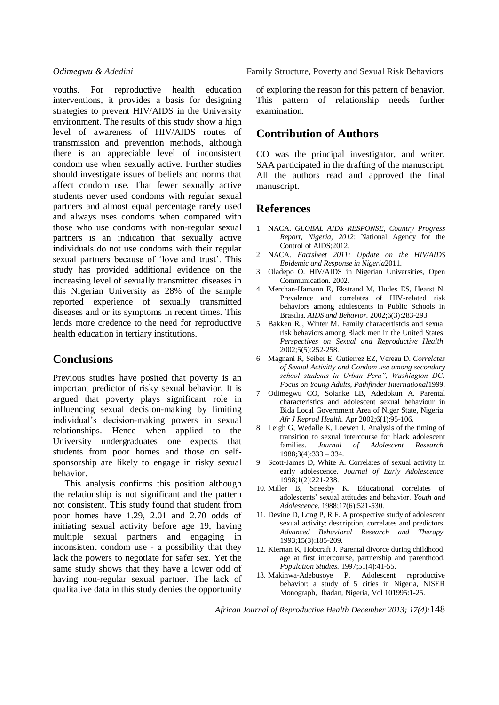youths. For reproductive health education interventions, it provides a basis for designing strategies to prevent HIV/AIDS in the University environment. The results of this study show a high level of awareness of HIV/AIDS routes of transmission and prevention methods, although there is an appreciable level of inconsistent condom use when sexually active. Further studies should investigate issues of beliefs and norms that affect condom use. That fewer sexually active students never used condoms with regular sexual partners and almost equal percentage rarely used and always uses condoms when compared with those who use condoms with non-regular sexual partners is an indication that sexually active individuals do not use condoms with their regular sexual partners because of 'love and trust'. This study has provided additional evidence on the increasing level of sexually transmitted diseases in this Nigerian University as 28% of the sample reported experience of sexually transmitted diseases and or its symptoms in recent times. This lends more credence to the need for reproductive health education in tertiary institutions.

# **Conclusions**

Previous studies have posited that poverty is an important predictor of risky sexual behavior. It is argued that poverty plays significant role in influencing sexual decision-making by limiting individual's decision-making powers in sexual relationships. Hence when applied to the University undergraduates one expects that students from poor homes and those on selfsponsorship are likely to engage in risky sexual behavior.

This analysis confirms this position although the relationship is not significant and the pattern not consistent. This study found that student from poor homes have 1.29, 2.01 and 2.70 odds of initiating sexual activity before age 19, having multiple sexual partners and engaging in inconsistent condom use - a possibility that they lack the powers to negotiate for safer sex. Yet the same study shows that they have a lower odd of having non-regular sexual partner. The lack of qualitative data in this study denies the opportunity

*Odimegwu & Adedini* Family Structure, Poverty and Sexual Risk Behaviors

of exploring the reason for this pattern of behavior. This pattern of relationship needs further examination.

# **Contribution of Authors**

CO was the principal investigator, and writer. SAA participated in the drafting of the manuscript. All the authors read and approved the final manuscript.

# **References**

- 1. NACA. *GLOBAL AIDS RESPONSE, Country Progress Report, Nigeria, 2012*: National Agency for the Control of AIDS;2012.
- 2. NACA. *Factsheet 2011: Update on the HIV/AIDS Epidemic and Response in Nigeria*2011.
- 3. Oladepo O. HIV/AIDS in Nigerian Universities, Open Communication. 2002.
- 4. Merchan-Hamann E, Ekstrand M, Hudes ES, Hearst N. Prevalence and correlates of HIV-related risk behaviors among adolescents in Public Schools in Brasilia. *AIDS and Behavior.* 2002;6(3):283-293.
- 5. Bakken RJ, Winter M. Family characertistcis and sexual risk behaviors among Black men in the United States. *Perspectives on Sexual and Reproductive Health.*  2002;5(5):252-258.
- 6. Magnani R, Seiber E, Gutierrez EZ, Vereau D. *Correlates of Sexual Activitty and Condom use among secondary school students in Urban Peru", Washington DC: Focus on Young Adults, Pathfinder International*1999.
- 7. Odimegwu CO, Solanke LB, Adedokun A. Parental characteristics and adolescent sexual behaviour in Bida Local Government Area of Niger State, Nigeria. *Afr J Reprod Health.* Apr 2002;6(1):95-106.
- 8. Leigh G, Wedalle K, Loewen I. Analysis of the timing of transition to sexual intercourse for black adolescent families. *Journal of Adolescent Research.*  1988;3(4):333 – 334.
- 9. Scott-James D, White A. Correlates of sexual activity in early adolescence. *Journal of Early Adolescence.*  1998;1(2):221-238.
- 10. Miller B, Sneesby K. Educational correlates of adolescents' sexual attitudes and behavior. *Youth and Adolescence.* 1988;17(6):521-530.
- 11. Devine D, Long P, R F. A prospective study of adolescent sexual activity: description, correlates and predictors. *Advanced Behavioral Research and Therapy.*  1993;15(3):185-209.
- 12. Kiernan K, Hobcraft J. Parental divorce during childhood; age at first intercourse, partnership and parenthood. *Population Studies.* 1997;51(4):41-55.
- 13. Makinwa-Adebusoye P. Adolescent reproductive behavior: a study of 5 cities in Nigeria, NISER Monograph, Ibadan, Nigeria, Vol 101995:1-25.